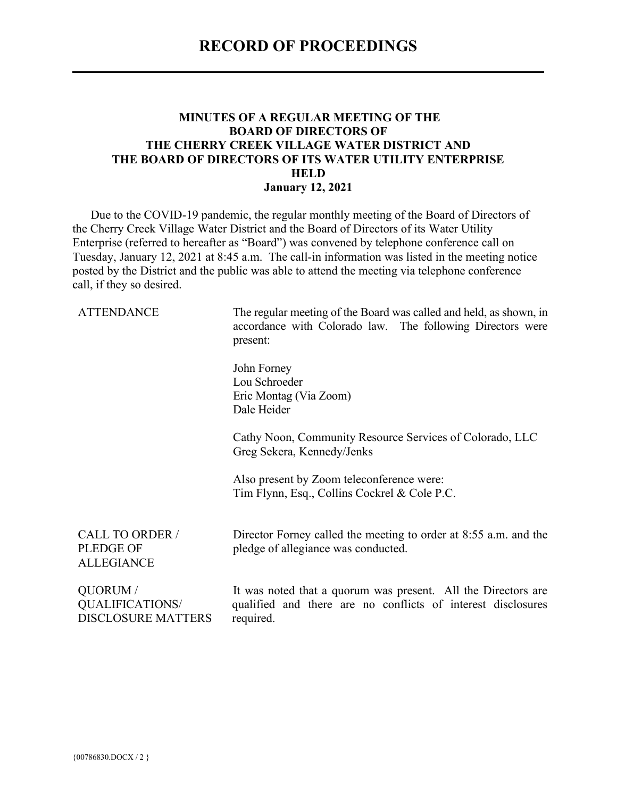#### **MINUTES OF A REGULAR MEETING OF THE BOARD OF DIRECTORS OF THE CHERRY CREEK VILLAGE WATER DISTRICT AND THE BOARD OF DIRECTORS OF ITS WATER UTILITY ENTERPRISE HELD January 12, 2021**

Due to the COVID-19 pandemic, the regular monthly meeting of the Board of Directors of the Cherry Creek Village Water District and the Board of Directors of its Water Utility Enterprise (referred to hereafter as "Board") was convened by telephone conference call on Tuesday, January 12, 2021 at 8:45 a.m. The call-in information was listed in the meeting notice posted by the District and the public was able to attend the meeting via telephone conference call, if they so desired.

ATTENDANCE The regular meeting of the Board was called and held, as shown, in accordance with Colorado law. The following Directors were present:

> John Forney Lou Schroeder Eric Montag (Via Zoom) Dale Heider

Cathy Noon, Community Resource Services of Colorado, LLC Greg Sekera, Kennedy/Jenks

Also present by Zoom teleconference were: Tim Flynn, Esq., Collins Cockrel & Cole P.C.

CALL TO ORDER / PLEDGE OF ALLEGIANCE

Director Forney called the meeting to order at 8:55 a.m. and the pledge of allegiance was conducted.

QUORUM / QUALIFICATIONS/ DISCLOSURE MATTERS It was noted that a quorum was present. All the Directors are qualified and there are no conflicts of interest disclosures required.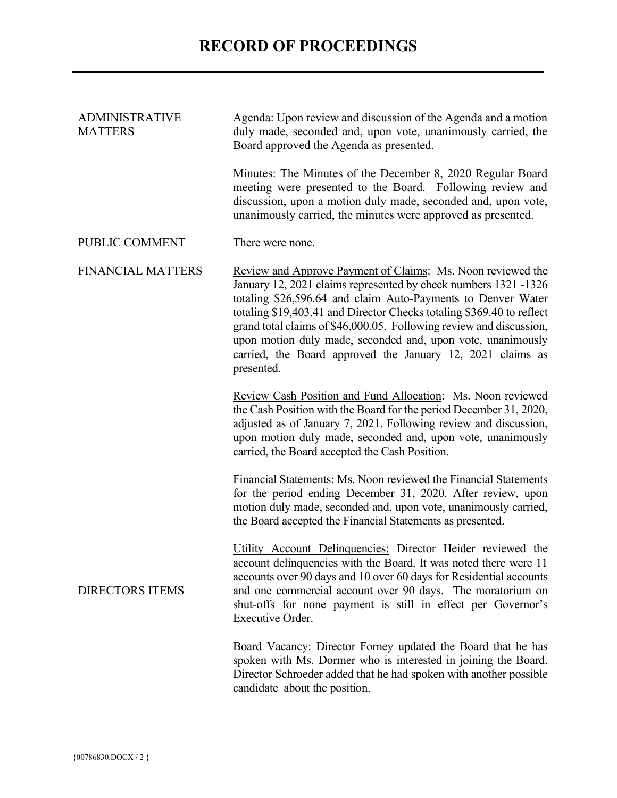| <b>ADMINISTRATIVE</b><br><b>MATTERS</b> | Agenda: Upon review and discussion of the Agenda and a motion<br>duly made, seconded and, upon vote, unanimously carried, the<br>Board approved the Agenda as presented.                                                                                                                                                                                                                                                                                                                  |  |  |  |  |
|-----------------------------------------|-------------------------------------------------------------------------------------------------------------------------------------------------------------------------------------------------------------------------------------------------------------------------------------------------------------------------------------------------------------------------------------------------------------------------------------------------------------------------------------------|--|--|--|--|
|                                         | Minutes: The Minutes of the December 8, 2020 Regular Board<br>meeting were presented to the Board. Following review and<br>discussion, upon a motion duly made, seconded and, upon vote,<br>unanimously carried, the minutes were approved as presented.                                                                                                                                                                                                                                  |  |  |  |  |
| PUBLIC COMMENT                          | There were none.                                                                                                                                                                                                                                                                                                                                                                                                                                                                          |  |  |  |  |
| <b>FINANCIAL MATTERS</b>                | Review and Approve Payment of Claims: Ms. Noon reviewed the<br>January 12, 2021 claims represented by check numbers 1321 -1326<br>totaling \$26,596.64 and claim Auto-Payments to Denver Water<br>totaling \$19,403.41 and Director Checks totaling \$369.40 to reflect<br>grand total claims of \$46,000.05. Following review and discussion,<br>upon motion duly made, seconded and, upon vote, unanimously<br>carried, the Board approved the January 12, 2021 claims as<br>presented. |  |  |  |  |
|                                         | Review Cash Position and Fund Allocation: Ms. Noon reviewed<br>the Cash Position with the Board for the period December 31, 2020,<br>adjusted as of January 7, 2021. Following review and discussion,<br>upon motion duly made, seconded and, upon vote, unanimously<br>carried, the Board accepted the Cash Position.                                                                                                                                                                    |  |  |  |  |
|                                         | Financial Statements: Ms. Noon reviewed the Financial Statements<br>for the period ending December 31, 2020. After review, upon<br>motion duly made, seconded and, upon vote, unanimously carried,<br>the Board accepted the Financial Statements as presented.                                                                                                                                                                                                                           |  |  |  |  |
| <b>DIRECTORS ITEMS</b>                  | Utility Account Delinquencies: Director Heider reviewed the<br>account delinquencies with the Board. It was noted there were 11<br>accounts over 90 days and 10 over 60 days for Residential accounts<br>and one commercial account over 90 days. The moratorium on<br>shut-offs for none payment is still in effect per Governor's<br><b>Executive Order.</b>                                                                                                                            |  |  |  |  |
|                                         | Board Vacancy: Director Forney updated the Board that he has<br>spoken with Ms. Dormer who is interested in joining the Board.<br>Director Schroeder added that he had spoken with another possible<br>candidate about the position.                                                                                                                                                                                                                                                      |  |  |  |  |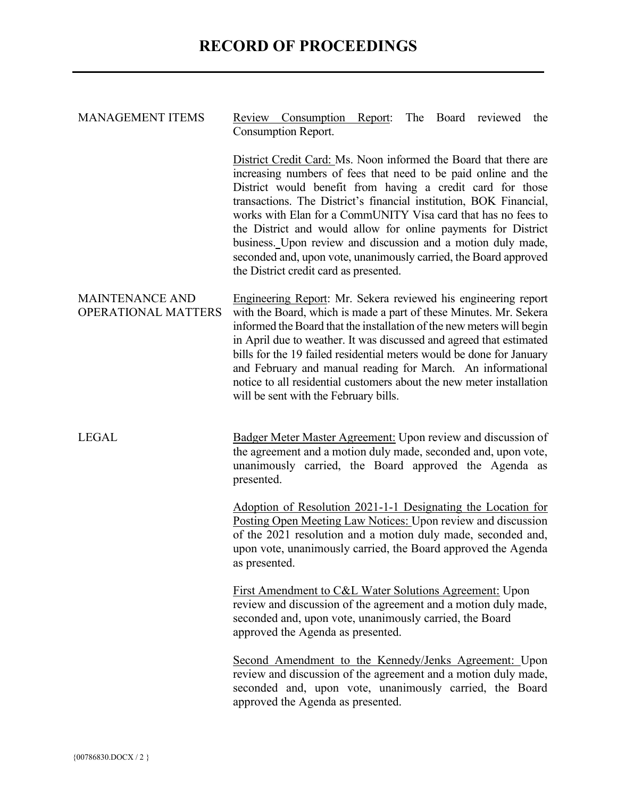| <b>MANAGEMENT ITEMS</b>                              | The<br>Board reviewed<br>Review Consumption Report:<br>the<br>Consumption Report.                                                                                                                                                                                                                                                                                                                                                                                                                                                                                                      |  |  |  |  |  |
|------------------------------------------------------|----------------------------------------------------------------------------------------------------------------------------------------------------------------------------------------------------------------------------------------------------------------------------------------------------------------------------------------------------------------------------------------------------------------------------------------------------------------------------------------------------------------------------------------------------------------------------------------|--|--|--|--|--|
|                                                      | District Credit Card: Ms. Noon informed the Board that there are<br>increasing numbers of fees that need to be paid online and the<br>District would benefit from having a credit card for those<br>transactions. The District's financial institution, BOK Financial,<br>works with Elan for a CommUNITY Visa card that has no fees to<br>the District and would allow for online payments for District<br>business. Upon review and discussion and a motion duly made,<br>seconded and, upon vote, unanimously carried, the Board approved<br>the District credit card as presented. |  |  |  |  |  |
| <b>MAINTENANCE AND</b><br><b>OPERATIONAL MATTERS</b> | Engineering Report: Mr. Sekera reviewed his engineering report<br>with the Board, which is made a part of these Minutes. Mr. Sekera<br>informed the Board that the installation of the new meters will begin<br>in April due to weather. It was discussed and agreed that estimated<br>bills for the 19 failed residential meters would be done for January<br>and February and manual reading for March. An informational<br>notice to all residential customers about the new meter installation<br>will be sent with the February bills.                                            |  |  |  |  |  |
| <b>LEGAL</b>                                         | Badger Meter Master Agreement: Upon review and discussion of<br>the agreement and a motion duly made, seconded and, upon vote,<br>unanimously carried, the Board approved the Agenda as<br>presented.                                                                                                                                                                                                                                                                                                                                                                                  |  |  |  |  |  |
|                                                      | <u>Adoption of Resolution 2021-1-1 Designating the Location for</u><br>Posting Open Meeting Law Notices: Upon review and discussion<br>of the 2021 resolution and a motion duly made, seconded and,<br>upon vote, unanimously carried, the Board approved the Agenda<br>as presented.                                                                                                                                                                                                                                                                                                  |  |  |  |  |  |
|                                                      | First Amendment to C&L Water Solutions Agreement: Upon<br>review and discussion of the agreement and a motion duly made,<br>seconded and, upon vote, unanimously carried, the Board<br>approved the Agenda as presented.                                                                                                                                                                                                                                                                                                                                                               |  |  |  |  |  |
|                                                      | Second Amendment to the Kennedy/Jenks Agreement: Upon<br>review and discussion of the agreement and a motion duly made,<br>seconded and, upon vote, unanimously carried, the Board<br>approved the Agenda as presented.                                                                                                                                                                                                                                                                                                                                                                |  |  |  |  |  |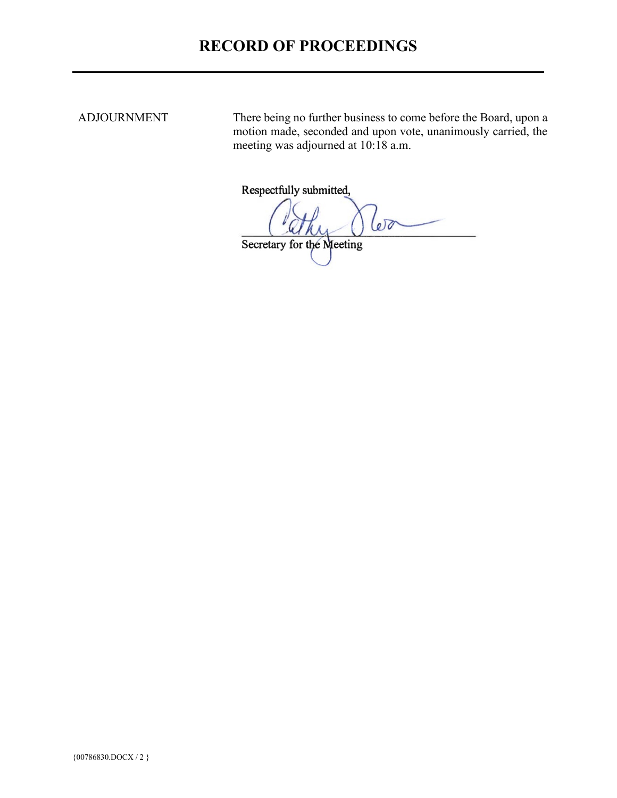ADJOURNMENT There being no further business to come before the Board, upon a motion made, seconded and upon vote, unanimously carried, the meeting was adjourned at 10:18 a.m.

Respectfully submitted,

00

Secretary for the Meeting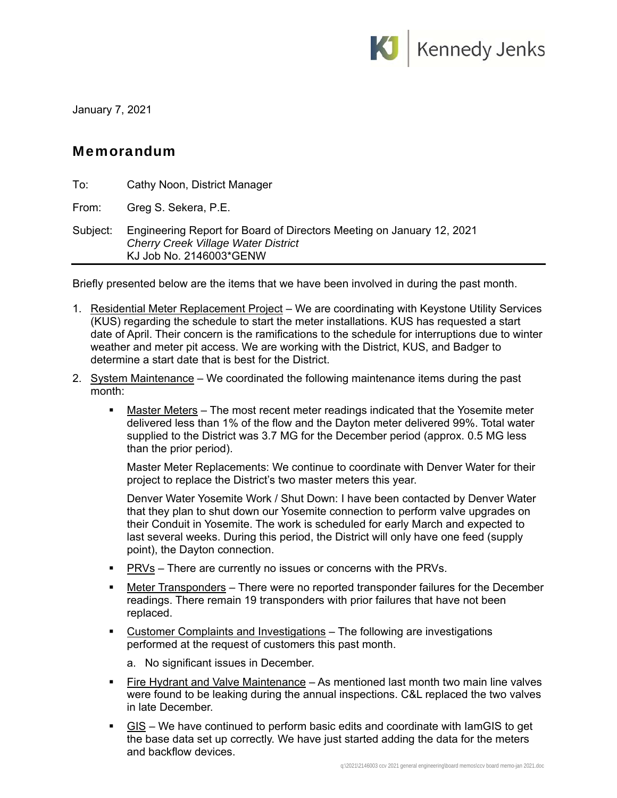

January 7, 2021

## Memorandum

| To:      | Cathy Noon, District Manager                                                                                                                   |
|----------|------------------------------------------------------------------------------------------------------------------------------------------------|
| From:    | Greg S. Sekera, P.E.                                                                                                                           |
| Subject: | Engineering Report for Board of Directors Meeting on January 12, 2021<br><b>Cherry Creek Village Water District</b><br>KJ Job No. 2146003*GENW |

Briefly presented below are the items that we have been involved in during the past month.

- 1. Residential Meter Replacement Project We are coordinating with Keystone Utility Services (KUS) regarding the schedule to start the meter installations. KUS has requested a start date of April. Their concern is the ramifications to the schedule for interruptions due to winter weather and meter pit access. We are working with the District, KUS, and Badger to determine a start date that is best for the District.
- 2. System Maintenance We coordinated the following maintenance items during the past month:
	- **Master Meters** The most recent meter readings indicated that the Yosemite meter delivered less than 1% of the flow and the Dayton meter delivered 99%. Total water supplied to the District was 3.7 MG for the December period (approx. 0.5 MG less than the prior period).

Master Meter Replacements: We continue to coordinate with Denver Water for their project to replace the District's two master meters this year.

Denver Water Yosemite Work / Shut Down: I have been contacted by Denver Water that they plan to shut down our Yosemite connection to perform valve upgrades on their Conduit in Yosemite. The work is scheduled for early March and expected to last several weeks. During this period, the District will only have one feed (supply point), the Dayton connection.

- **PRVs** There are currently no issues or concerns with the PRVs.
- Meter Transponders There were no reported transponder failures for the December readings. There remain 19 transponders with prior failures that have not been replaced.
- Customer Complaints and Investigations The following are investigations performed at the request of customers this past month.
	- a. No significant issues in December.
- Fire Hydrant and Valve Maintenance As mentioned last month two main line valves were found to be leaking during the annual inspections. C&L replaced the two valves in late December.
- $\blacksquare$  GIS We have continued to perform basic edits and coordinate with lamGIS to get the base data set up correctly. We have just started adding the data for the meters and backflow devices.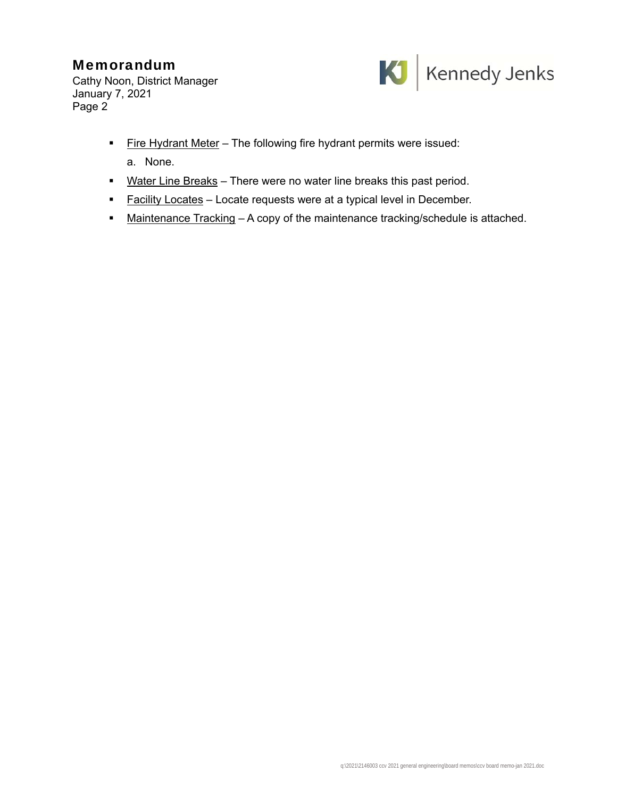# Memorandum

Cathy Noon, District Manager January 7, 2021 Page 2



- **Fire Hydrant Meter** The following fire hydrant permits were issued:
	- a. None.
- Water Line Breaks There were no water line breaks this past period.
- **Facility Locates** Locate requests were at a typical level in December.
- Maintenance Tracking A copy of the maintenance tracking/schedule is attached.